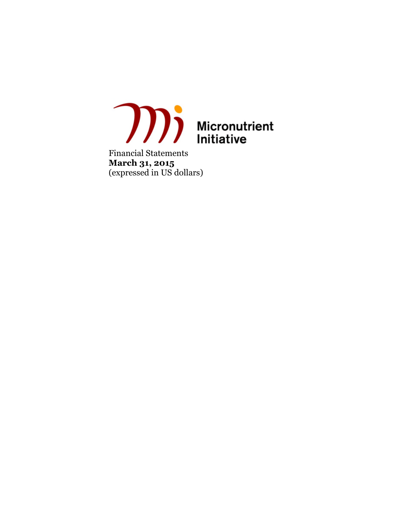

Financial Statements **March 31, 2015** (expressed in US dollars)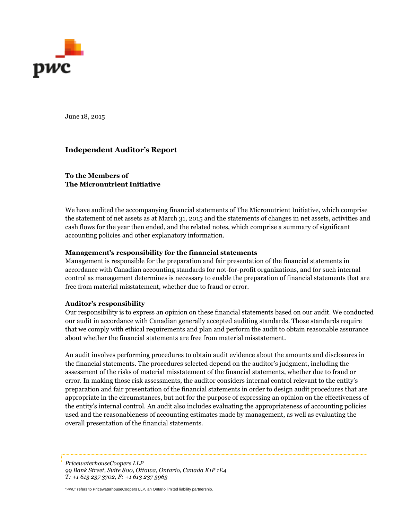

June 18, 2015

### **Independent Auditor's Report**

### **To the Members of The Micronutrient Initiative**

We have audited the accompanying financial statements of The Micronutrient Initiative, which comprise the statement of net assets as at March 31, 2015 and the statements of changes in net assets, activities and cash flows for the year then ended, and the related notes, which comprise a summary of significant accounting policies and other explanatory information.

### **Management's responsibility for the financial statements**

Management is responsible for the preparation and fair presentation of the financial statements in accordance with Canadian accounting standards for not-for-profit organizations, and for such internal control as management determines is necessary to enable the preparation of financial statements that are free from material misstatement, whether due to fraud or error.

### **Auditor's responsibility**

Our responsibility is to express an opinion on these financial statements based on our audit. We conducted our audit in accordance with Canadian generally accepted auditing standards. Those standards require that we comply with ethical requirements and plan and perform the audit to obtain reasonable assurance about whether the financial statements are free from material misstatement.

An audit involves performing procedures to obtain audit evidence about the amounts and disclosures in the financial statements. The procedures selected depend on the auditor's judgment, including the assessment of the risks of material misstatement of the financial statements, whether due to fraud or error. In making those risk assessments, the auditor considers internal control relevant to the entity's preparation and fair presentation of the financial statements in order to design audit procedures that are appropriate in the circumstances, but not for the purpose of expressing an opinion on the effectiveness of the entity's internal control. An audit also includes evaluating the appropriateness of accounting policies used and the reasonableness of accounting estimates made by management, as well as evaluating the overall presentation of the financial statements.

*PricewaterhouseCoopers LLP 99 Bank Street, Suite 800, Ottawa, Ontario, Canada K1P 1E4 T: +1 613 237 3702, F: +1 613 237 3963*

"PwC" refers to PricewaterhouseCoopers LLP, an Ontario limited liability partnership.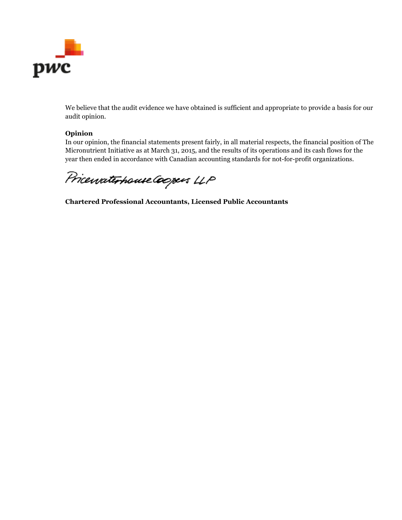

We believe that the audit evidence we have obtained is sufficient and appropriate to provide a basis for our audit opinion.

### **Opinion**

In our opinion, the financial statements present fairly, in all material respects, the financial position of The Micronutrient Initiative as at March 31, 2015, and the results of its operations and its cash flows for the year then ended in accordance with Canadian accounting standards for not-for-profit organizations.

Pricewaterhouse Coopers LLP

**Chartered Professional Accountants, Licensed Public Accountants**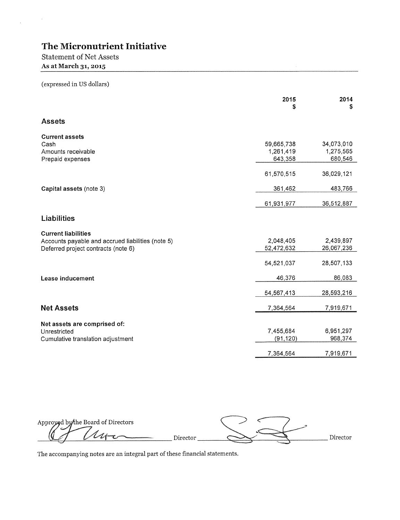### Statement of Net Assets

As at March **31, 2015**

 $\bar{\mathcal{A}}$ 

 $\bar{\bar{\nu}}$ 

(expressed in US dollars)

|                                                                                                                        | 2015<br>\$                            | 2014<br>\$                            |
|------------------------------------------------------------------------------------------------------------------------|---------------------------------------|---------------------------------------|
| <b>Assets</b>                                                                                                          |                                       |                                       |
| <b>Current assets</b><br>Cash<br>Amounts receivable<br>Prepaid expenses                                                | 59,665,738<br>1,261,419<br>643,358    | 34,073,010<br>1,275,565<br>680,546    |
|                                                                                                                        | 61,570,515                            | 36,029,121                            |
| Capital assets (note 3)                                                                                                | 361,462                               | 483,766                               |
|                                                                                                                        | 61,931,977                            | 36,512,887                            |
| Liabilities                                                                                                            |                                       |                                       |
| <b>Current liabilities</b><br>Accounts payable and accrued liabilities (note 5)<br>Deferred project contracts (note 6) | 2,048,405<br>52,472,632<br>54,521,037 | 2,439,897<br>26,067,236<br>28,507,133 |
| Lease inducement                                                                                                       | 46,376                                | 86,083                                |
|                                                                                                                        | 54, 567, 413                          | 28,593,216                            |
| <b>Net Assets</b>                                                                                                      | 7,364,564                             | 7,919,671                             |
| Net assets are comprised of:<br>Unrestricted<br>Cumulative translation adjustment                                      | 7,455,684<br>(91, 120)<br>7,364,564   | 6,951,297<br>968,374<br>7,919,671     |

Approyed by the Board of Directors < l U V \_Director \_ Director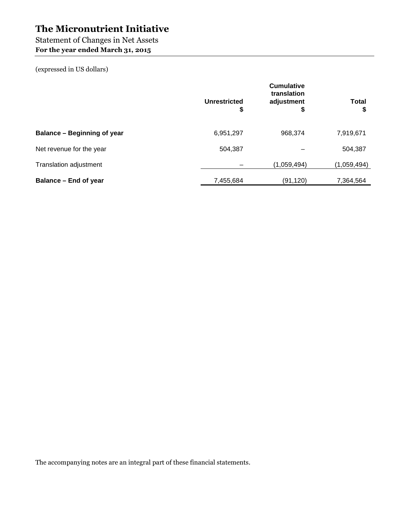Statement of Changes in Net Assets **For the year ended March 31, 2015**

### (expressed in US dollars)

|                                    | <b>Unrestricted</b><br>\$ | <b>Cumulative</b><br>translation<br>adjustment<br>\$ | <b>Total</b><br>\$ |
|------------------------------------|---------------------------|------------------------------------------------------|--------------------|
| <b>Balance - Beginning of year</b> | 6,951,297                 | 968,374                                              | 7,919,671          |
| Net revenue for the year           | 504,387                   |                                                      | 504,387            |
| Translation adjustment             |                           | (1,059,494)                                          | (1,059,494)        |
| <b>Balance – End of year</b>       | 7,455,684                 | (91, 120)                                            | 7,364,564          |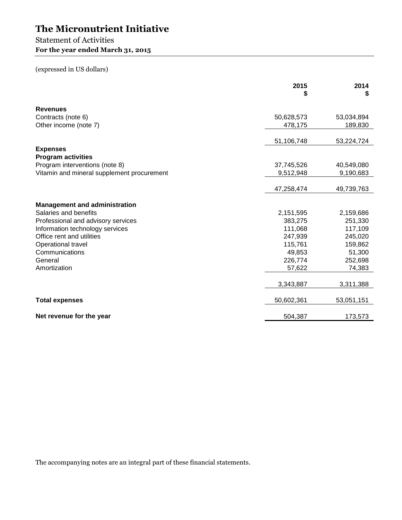### Statement of Activities **For the year ended March 31, 2015**

### (expressed in US dollars)

|                                            | 2015<br>\$ | 2014<br>\$ |
|--------------------------------------------|------------|------------|
| <b>Revenues</b>                            |            |            |
| Contracts (note 6)                         | 50,628,573 | 53,034,894 |
| Other income (note 7)                      | 478,175    | 189,830    |
|                                            | 51,106,748 | 53,224,724 |
| <b>Expenses</b>                            |            |            |
| <b>Program activities</b>                  |            |            |
| Program interventions (note 8)             | 37,745,526 | 40,549,080 |
| Vitamin and mineral supplement procurement | 9,512,948  | 9,190,683  |
|                                            | 47,258,474 | 49,739,763 |
| <b>Management and administration</b>       |            |            |
| Salaries and benefits                      | 2,151,595  | 2,159,686  |
| Professional and advisory services         | 383,275    | 251,330    |
| Information technology services            | 111,068    | 117,109    |
| Office rent and utilities                  | 247,939    | 245,020    |
| Operational travel                         | 115,761    | 159,862    |
| Communications                             | 49,853     | 51,300     |
| General                                    | 226,774    | 252,698    |
| Amortization                               | 57,622     | 74,383     |
|                                            | 3,343,887  | 3,311,388  |
| <b>Total expenses</b>                      | 50,602,361 | 53,051,151 |
| Net revenue for the year                   | 504,387    | 173,573    |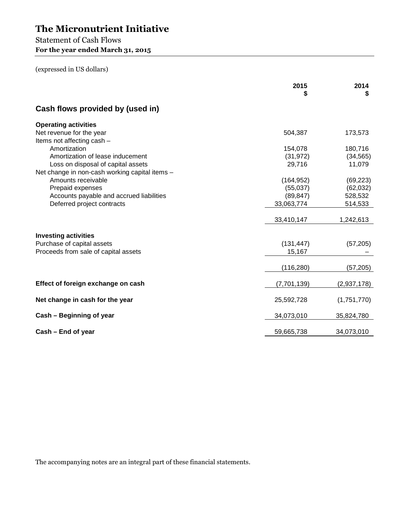Statement of Cash Flows **For the year ended March 31, 2015**

(expressed in US dollars)

|                                                                        | 2015<br>\$              | 2014<br>\$         |
|------------------------------------------------------------------------|-------------------------|--------------------|
| Cash flows provided by (used in)                                       |                         |                    |
| <b>Operating activities</b>                                            |                         |                    |
| Net revenue for the year                                               | 504,387                 | 173,573            |
| Items not affecting cash -<br>Amortization                             | 154,078                 | 180,716            |
| Amortization of lease inducement                                       | (31, 972)               | (34, 565)          |
| Loss on disposal of capital assets                                     | 29,716                  | 11,079             |
| Net change in non-cash working capital items -                         |                         |                    |
| Amounts receivable                                                     | (164, 952)              | (69, 223)          |
| Prepaid expenses                                                       | (55,037)                | (62,032)           |
| Accounts payable and accrued liabilities<br>Deferred project contracts | (89, 847)<br>33,063,774 | 528,532<br>514,533 |
|                                                                        |                         |                    |
|                                                                        | 33,410,147              | 1,242,613          |
| <b>Investing activities</b>                                            |                         |                    |
| Purchase of capital assets                                             | (131, 447)              | (57, 205)          |
| Proceeds from sale of capital assets                                   | 15,167                  |                    |
|                                                                        | (116, 280)              | (57, 205)          |
| Effect of foreign exchange on cash                                     | (7,701,139)             | (2,937,178)        |
| Net change in cash for the year                                        | 25,592,728              | (1,751,770)        |
| Cash - Beginning of year                                               | 34,073,010              | 35,824,780         |
| Cash - End of year                                                     | 59,665,738              | 34,073,010         |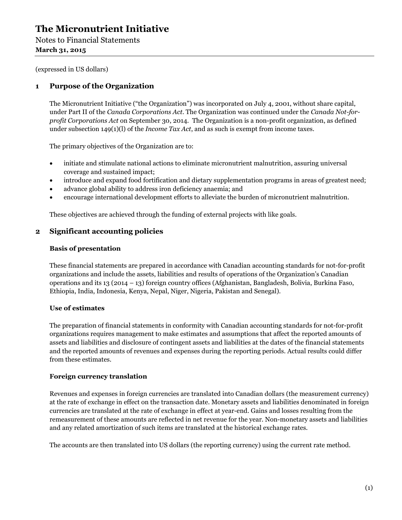Notes to Financial Statements **March 31, 2015**

(expressed in US dollars)

### **1 Purpose of the Organization**

The Micronutrient Initiative ("the Organization") was incorporated on July 4, 2001, without share capital, under Part II of the *Canada Corporations Act*. The Organization was continued under the *Canada Not-forprofit Corporations Act* on September 30, 2014. The Organization is a non-profit organization, as defined under subsection 149(1)(l) of the *Income Tax Act*, and as such is exempt from income taxes.

The primary objectives of the Organization are to:

- initiate and stimulate national actions to eliminate micronutrient malnutrition, assuring universal coverage and sustained impact;
- introduce and expand food fortification and dietary supplementation programs in areas of greatest need;
- advance global ability to address iron deficiency anaemia; and
- encourage international development efforts to alleviate the burden of micronutrient malnutrition.

These objectives are achieved through the funding of external projects with like goals.

### **2 Significant accounting policies**

### **Basis of presentation**

These financial statements are prepared in accordance with Canadian accounting standards for not-for-profit organizations and include the assets, liabilities and results of operations of the Organization's Canadian operations and its 13 (2014 – 13) foreign country offices (Afghanistan, Bangladesh, Bolivia, Burkina Faso, Ethiopia, India, Indonesia, Kenya, Nepal, Niger, Nigeria, Pakistan and Senegal).

### **Use of estimates**

The preparation of financial statements in conformity with Canadian accounting standards for not-for-profit organizations requires management to make estimates and assumptions that affect the reported amounts of assets and liabilities and disclosure of contingent assets and liabilities at the dates of the financial statements and the reported amounts of revenues and expenses during the reporting periods. Actual results could differ from these estimates.

### **Foreign currency translation**

Revenues and expenses in foreign currencies are translated into Canadian dollars (the measurement currency) at the rate of exchange in effect on the transaction date. Monetary assets and liabilities denominated in foreign currencies are translated at the rate of exchange in effect at year-end. Gains and losses resulting from the remeasurement of these amounts are reflected in net revenue for the year. Non-monetary assets and liabilities and any related amortization of such items are translated at the historical exchange rates.

The accounts are then translated into US dollars (the reporting currency) using the current rate method.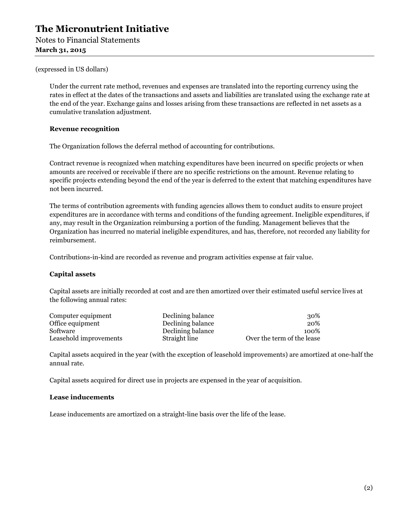Notes to Financial Statements **March 31, 2015**

(expressed in US dollars)

Under the current rate method, revenues and expenses are translated into the reporting currency using the rates in effect at the dates of the transactions and assets and liabilities are translated using the exchange rate at the end of the year. Exchange gains and losses arising from these transactions are reflected in net assets as a cumulative translation adjustment.

#### **Revenue recognition**

The Organization follows the deferral method of accounting for contributions.

Contract revenue is recognized when matching expenditures have been incurred on specific projects or when amounts are received or receivable if there are no specific restrictions on the amount. Revenue relating to specific projects extending beyond the end of the year is deferred to the extent that matching expenditures have not been incurred.

The terms of contribution agreements with funding agencies allows them to conduct audits to ensure project expenditures are in accordance with terms and conditions of the funding agreement. Ineligible expenditures, if any, may result in the Organization reimbursing a portion of the funding. Management believes that the Organization has incurred no material ineligible expenditures, and has, therefore, not recorded any liability for reimbursement.

Contributions-in-kind are recorded as revenue and program activities expense at fair value.

#### **Capital assets**

Capital assets are initially recorded at cost and are then amortized over their estimated useful service lives at the following annual rates:

| Computer equipment     | Declining balance | 30%                        |
|------------------------|-------------------|----------------------------|
| Office equipment       | Declining balance | 20%                        |
| Software               | Declining balance | $100\%$                    |
| Leasehold improvements | Straight line     | Over the term of the lease |

Capital assets acquired in the year (with the exception of leasehold improvements) are amortized at one-half the annual rate.

Capital assets acquired for direct use in projects are expensed in the year of acquisition.

#### **Lease inducements**

Lease inducements are amortized on a straight-line basis over the life of the lease.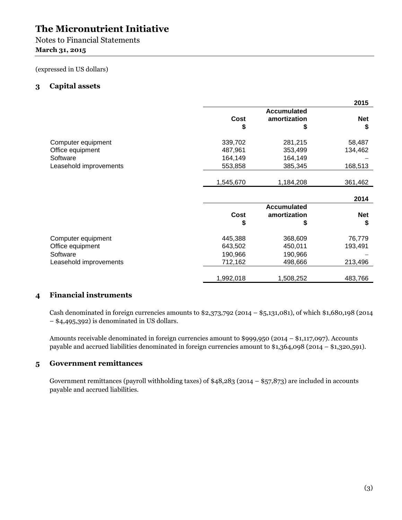Notes to Financial Statements

### **March 31, 2015**

(expressed in US dollars)

### **3 Capital assets**

|                        |           |                    | 2015       |
|------------------------|-----------|--------------------|------------|
|                        |           | <b>Accumulated</b> |            |
|                        | Cost      | amortization       | <b>Net</b> |
|                        | \$        | 5                  | S          |
| Computer equipment     | 339,702   | 281,215            | 58,487     |
| Office equipment       | 487,961   | 353,499            | 134,462    |
| Software               | 164,149   | 164,149            |            |
| Leasehold improvements | 553,858   | 385,345            | 168,513    |
|                        |           |                    |            |
|                        | 1,545,670 | 1,184,208          | 361,462    |
|                        |           |                    |            |
|                        |           |                    | 2014       |
|                        |           | <b>Accumulated</b> |            |
|                        | Cost      | amortization       | <b>Net</b> |
|                        | \$        | S                  | \$         |
| Computer equipment     | 445,388   | 368,609            | 76,779     |
| Office equipment       | 643,502   | 450,011            | 193,491    |
| Software               | 190,966   | 190,966            |            |
| Leasehold improvements | 712,162   | 498,666            | 213,496    |
|                        |           |                    |            |
|                        | 1,992,018 | 1,508,252          | 483,766    |

### **4 Financial instruments**

Cash denominated in foreign currencies amounts to \$2,373,792 (2014 – \$5,131,081), of which \$1,680,198 (2014 – \$4,495,392) is denominated in US dollars.

Amounts receivable denominated in foreign currencies amount to \$999,950 (2014 – \$1,117,097). Accounts payable and accrued liabilities denominated in foreign currencies amount to \$1,364,098 (2014 – \$1,320,591).

### **5 Government remittances**

Government remittances (payroll withholding taxes) of  $$48,283$  (2014 –  $$57,873$ ) are included in accounts payable and accrued liabilities.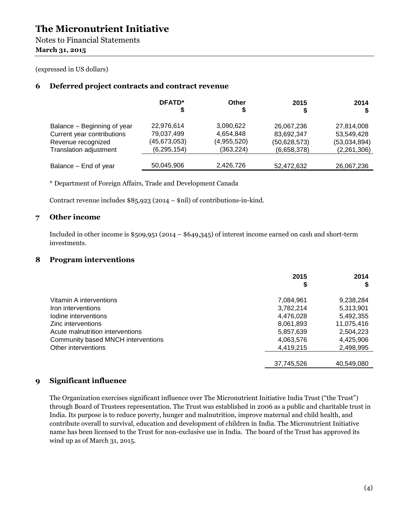Notes to Financial Statements **March 31, 2015**

(expressed in US dollars)

### **6 Deferred project contracts and contract revenue**

|                               | DFATD*<br>\$  | Other<br>S  | 2015         | 2014         |
|-------------------------------|---------------|-------------|--------------|--------------|
| Balance - Beginning of year   | 22,976,614    | 3,090,622   | 26,067,236   | 27,814,008   |
| Current year contributions    | 79,037,499    | 4,654,848   | 83,692,347   | 53,549,428   |
| Revenue recognized            | (45,673,053)  | (4,955,520) | (50,628,573) | (53,034,894) |
| <b>Translation adjustment</b> | (6, 295, 154) | (363,224)   | (6,658,378)  | (2,261,306)  |
| Balance - End of year         | 50,045,906    | 2,426,726   | 52,472,632   | 26,067,236   |

\* Department of Foreign Affairs, Trade and Development Canada

Contract revenue includes  $$85,923$  (2014 –  $$nil)$  of contributions-in-kind.

### **7 Other income**

Included in other income is \$509,951 (2014 – \$649,345) of interest income earned on cash and short-term investments.

### **8 Program interventions**

|                                    | 2015<br>\$ | 2014       |
|------------------------------------|------------|------------|
| Vitamin A interventions            | 7,084,961  | 9,238,284  |
| Iron interventions                 | 3,782,214  | 5,313,901  |
| lodine interventions               | 4,476,028  | 5,492,355  |
| Zinc interventions                 | 8,061,893  | 11,075,416 |
| Acute malnutrition interventions   | 5,857,639  | 2,504,223  |
| Community based MNCH interventions | 4,063,576  | 4,425,906  |
| Other interventions                | 4,419,215  | 2,498,995  |
|                                    | 37,745,526 | 40,549,080 |

### **9 Significant influence**

The Organization exercises significant influence over The Micronutrient Initiative India Trust ("the Trust") through Board of Trustees representation. The Trust was established in 2006 as a public and charitable trust in India. Its purpose is to reduce poverty, hunger and malnutrition, improve maternal and child health, and contribute overall to survival, education and development of children in India. The Micronutrient Initiative name has been licensed to the Trust for non-exclusive use in India. The board of the Trust has approved its wind up as of March 31, 2015.